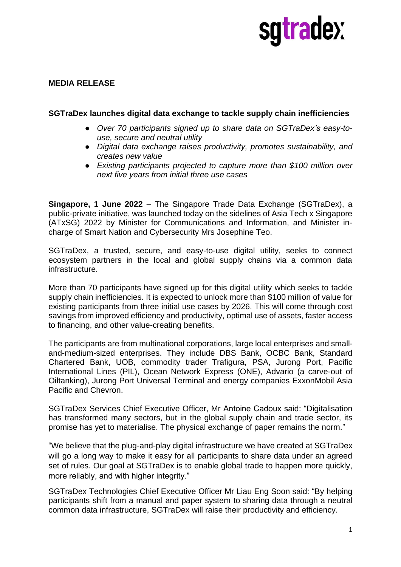# sqtradex

### **MEDIA RELEASE**

#### **SGTraDex launches digital data exchange to tackle supply chain inefficiencies**

- *Over 70 participants signed up to share data on SGTraDex's easy-touse, secure and neutral utility*
- *Digital data exchange raises productivity, promotes sustainability, and creates new value*
- *Existing participants projected to capture more than \$100 million over next five years from initial three use cases*

**Singapore, 1 June 2022** – The Singapore Trade Data Exchange (SGTraDex), a public-private initiative, was launched today on the sidelines of Asia Tech x Singapore (ATxSG) 2022 by Minister for Communications and Information, and Minister incharge of Smart Nation and Cybersecurity Mrs Josephine Teo.

SGTraDex, a trusted, secure, and easy-to-use digital utility, seeks to connect ecosystem partners in the local and global supply chains via a common data infrastructure.

More than 70 participants have signed up for this digital utility which seeks to tackle supply chain inefficiencies. It is expected to unlock more than \$100 million of value for existing participants from three initial use cases by 2026. This will come through cost savings from improved efficiency and productivity, optimal use of assets, faster access to financing, and other value-creating benefits.

The participants are from multinational corporations, large local enterprises and smalland-medium-sized enterprises. They include DBS Bank, OCBC Bank, Standard Chartered Bank, UOB, commodity trader Trafigura, PSA, Jurong Port, Pacific International Lines (PIL), Ocean Network Express (ONE), Advario (a carve-out of Oiltanking), Jurong Port Universal Terminal and energy companies ExxonMobil Asia Pacific and Chevron.

SGTraDex Services Chief Executive Officer, Mr Antoine Cadoux said: "Digitalisation has transformed many sectors, but in the global supply chain and trade sector, its promise has yet to materialise. The physical exchange of paper remains the norm."

"We believe that the plug-and-play digital infrastructure we have created at SGTraDex will go a long way to make it easy for all participants to share data under an agreed set of rules. Our goal at SGTraDex is to enable global trade to happen more quickly, more reliably, and with higher integrity."

SGTraDex Technologies Chief Executive Officer Mr Liau Eng Soon said: "By helping participants shift from a manual and paper system to sharing data through a neutral common data infrastructure, SGTraDex will raise their productivity and efficiency.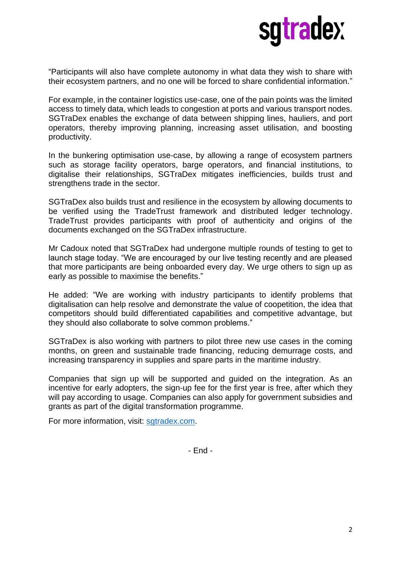

"Participants will also have complete autonomy in what data they wish to share with their ecosystem partners, and no one will be forced to share confidential information."

For example, in the container logistics use-case, one of the pain points was the limited access to timely data, which leads to congestion at ports and various transport nodes. SGTraDex enables the exchange of data between shipping lines, hauliers, and port operators, thereby improving planning, increasing asset utilisation, and boosting productivity.

In the bunkering optimisation use-case, by allowing a range of ecosystem partners such as storage facility operators, barge operators, and financial institutions, to digitalise their relationships, SGTraDex mitigates inefficiencies, builds trust and strengthens trade in the sector.

SGTraDex also builds trust and resilience in the ecosystem by allowing documents to be verified using the TradeTrust framework and distributed ledger technology. TradeTrust provides participants with proof of authenticity and origins of the documents exchanged on the SGTraDex infrastructure.

Mr Cadoux noted that SGTraDex had undergone multiple rounds of testing to get to launch stage today. "We are encouraged by our live testing recently and are pleased that more participants are being onboarded every day. We urge others to sign up as early as possible to maximise the benefits."

He added: "We are working with industry participants to identify problems that digitalisation can help resolve and demonstrate the value of coopetition, the idea that competitors should build differentiated capabilities and competitive advantage, but they should also collaborate to solve common problems."

SGTraDex is also working with partners to pilot three new use cases in the coming months, on green and sustainable trade financing, reducing demurrage costs, and increasing transparency in supplies and spare parts in the maritime industry.

Companies that sign up will be supported and guided on the integration. As an incentive for early adopters, the sign-up fee for the first year is free, after which they will pay according to usage. Companies can also apply for government subsidies and grants as part of the digital transformation programme.

For more information, visit: [sgtradex.com.](http://www.sgtradex.com/)

- End -